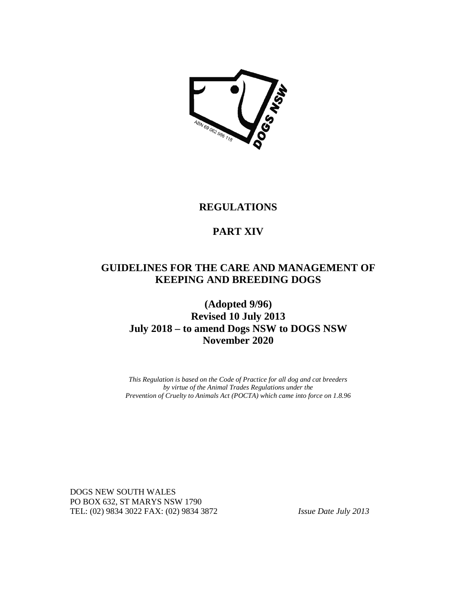

# **REGULATIONS**

# **PART XIV**

# **GUIDELINES FOR THE CARE AND MANAGEMENT OF KEEPING AND BREEDING DOGS**

# **(Adopted 9/96) Revised 10 July 2013 July 2018 – to amend Dogs NSW to DOGS NSW November 2020**

*This Regulation is based on the Code of Practice for all dog and cat breeders by virtue of the Animal Trades Regulations under the Prevention of Cruelty to Animals Act (POCTA) which came into force on 1.8.96*

DOGS NEW SOUTH WALES PO BOX 632, ST MARYS NSW 1790 TEL: (02) 9834 3022 FAX: (02) 9834 3872 *Issue Date July 2013*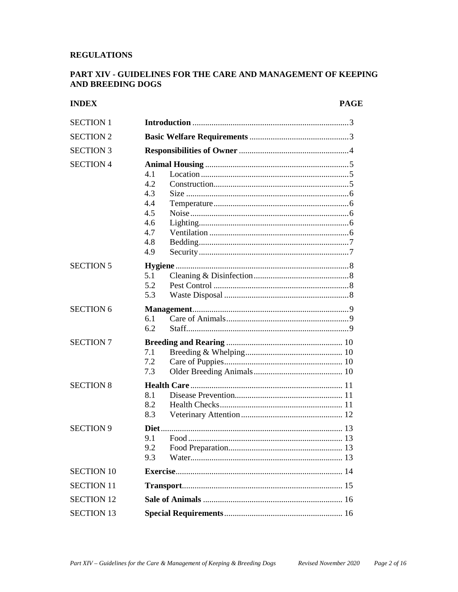# **REGULATIONS**

# PART XIV - GUIDELINES FOR THE CARE AND MANAGEMENT OF KEEPING **AND BREEDING DOGS**

# **INDEX**

#### **PAGE**

| <b>SECTION 1</b>  |                                                             |
|-------------------|-------------------------------------------------------------|
| <b>SECTION 2</b>  |                                                             |
| <b>SECTION 3</b>  |                                                             |
| <b>SECTION 4</b>  | 4.1<br>4.2<br>4.3<br>4.4<br>4.5<br>4.6<br>4.7<br>4.8<br>4.9 |
| <b>SECTION 5</b>  | 5.1<br>5.2<br>5.3                                           |
| <b>SECTION 6</b>  | 6.1<br>6.2                                                  |
| <b>SECTION 7</b>  | 7.1<br>7.2<br>7.3                                           |
| <b>SECTION 8</b>  | 8.1<br>8.2<br>8.3                                           |
| <b>SECTION 9</b>  | 9.1<br>92<br>9.3                                            |
| <b>SECTION 10</b> |                                                             |
| <b>SECTION 11</b> |                                                             |
| <b>SECTION 12</b> |                                                             |
| <b>SECTION 13</b> |                                                             |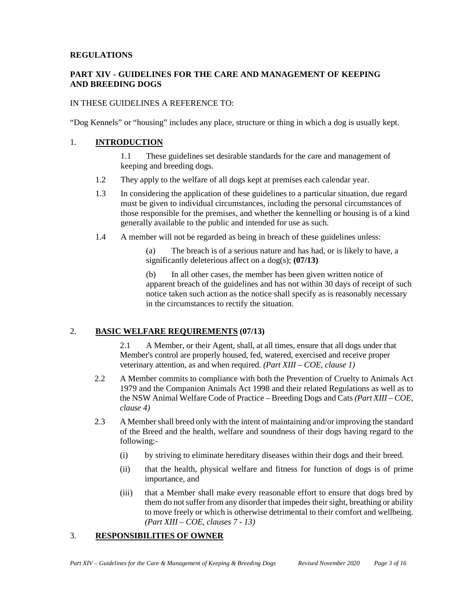## **REGULATIONS**

# **PART XIV - GUIDELINES FOR THE CARE AND MANAGEMENT OF KEEPING AND BREEDING DOGS**

## IN THESE GUIDELINES A REFERENCE TO:

"Dog Kennels" or "housing" includes any place, structure or thing in which a dog is usually kept.

## 1. **INTRODUCTION**

1.1 These guidelines set desirable standards for the care and management of keeping and breeding dogs.

- 1.2 They apply to the welfare of all dogs kept at premises each calendar year.
- 1.3 In considering the application of these guidelines to a particular situation, due regard must be given to individual circumstances, including the personal circumstances of those responsible for the premises, and whether the kennelling or housing is of a kind generally available to the public and intended for use as such.
- 1.4 A member will not be regarded as being in breach of these guidelines unless:

(a) The breach is of a serious nature and has had, or is likely to have, a significantly deleterious affect on a dog(s); **(07/13)** 

(b) In all other cases, the member has been given written notice of apparent breach of the guidelines and has not within 30 days of receipt of such notice taken such action as the notice shall specify as is reasonably necessary in the circumstances to rectify the situation.

# 2. **BASIC WELFARE REQUIREMENTS (07/13)**

2.1 A Member, or their Agent, shall, at all times, ensure that all dogs under that Member's control are properly housed, fed, watered, exercised and receive proper veterinary attention, as and when required. *(Part XIII – COE, clause 1)*

- 2.2 A Member commits to compliance with both the Prevention of Cruelty to Animals Act 1979 and the Companion Animals Act 1998 and their related Regulations as well as to the NSW Animal Welfare Code of Practice – Breeding Dogs and Cats *(Part XIII – COE, clause 4)*
- 2.3 A Member shall breed only with the intent of maintaining and/or improving the standard of the Breed and the health, welfare and soundness of their dogs having regard to the following:-
	- (i) by striving to eliminate hereditary diseases within their dogs and their breed.
	- (ii) that the health, physical welfare and fitness for function of dogs is of prime importance, and
	- (iii) that a Member shall make every reasonable effort to ensure that dogs bred by them do not suffer from any disorder that impedes their sight, breathing or ability to move freely or which is otherwise detrimental to their comfort and wellbeing. *(Part XIII – COE, clauses 7 - 13)*

# 3. **RESPONSIBILITIES OF OWNER**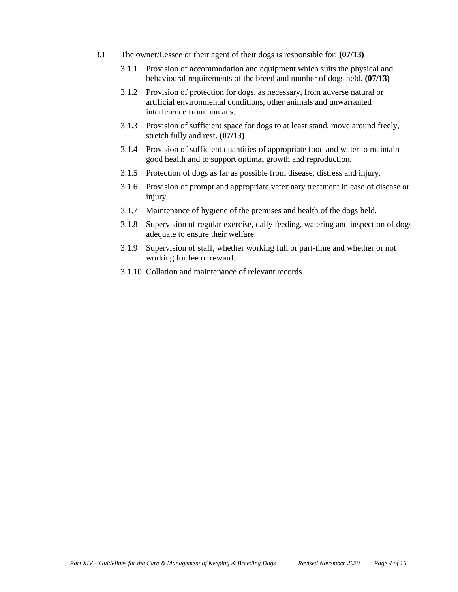- 3.1 The owner/Lessee or their agent of their dogs is responsible for: **(07/13)**
	- 3.1.1 Provision of accommodation and equipment which suits the physical and behavioural requirements of the breed and number of dogs held. **(07/13)**
	- 3.1.2 Provision of protection for dogs, as necessary, from adverse natural or artificial environmental conditions, other animals and unwarranted interference from humans.
	- 3.1.3 Provision of sufficient space for dogs to at least stand, move around freely, stretch fully and rest. **(07/13)**
	- 3.1.4 Provision of sufficient quantities of appropriate food and water to maintain good health and to support optimal growth and reproduction.
	- 3.1.5 Protection of dogs as far as possible from disease, distress and injury.
	- 3.1.6 Provision of prompt and appropriate veterinary treatment in case of disease or injury.
	- 3.1.7 Maintenance of hygiene of the premises and health of the dogs held.
	- 3.1.8 Supervision of regular exercise, daily feeding, watering and inspection of dogs adequate to ensure their welfare.
	- 3.1.9 Supervision of staff, whether working full or part-time and whether or not working for fee or reward.
	- 3.1.10 Collation and maintenance of relevant records.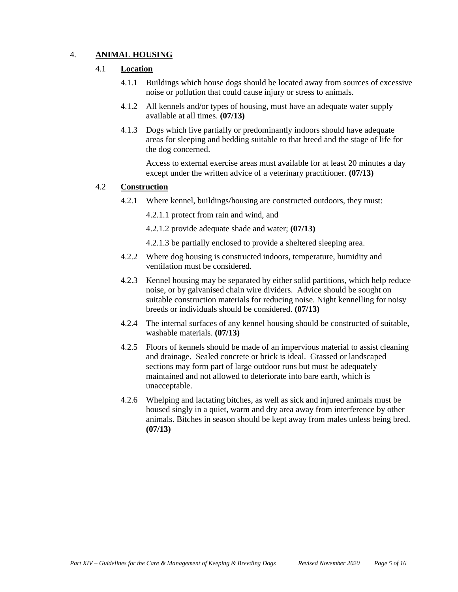# 4. **ANIMAL HOUSING**

## 4.1 **Location**

- 4.1.1 Buildings which house dogs should be located away from sources of excessive noise or pollution that could cause injury or stress to animals.
- 4.1.2 All kennels and/or types of housing, must have an adequate water supply available at all times. **(07/13)**
- 4.1.3 Dogs which live partially or predominantly indoors should have adequate areas for sleeping and bedding suitable to that breed and the stage of life for the dog concerned.

Access to external exercise areas must available for at least 20 minutes a day except under the written advice of a veterinary practitioner. **(07/13)**

## 4.2 **Construction**

4.2.1 Where kennel, buildings/housing are constructed outdoors, they must:

4.2.1.1 protect from rain and wind, and

- 4.2.1.2 provide adequate shade and water; **(07/13)**
- 4.2.1.3 be partially enclosed to provide a sheltered sleeping area.
- 4.2.2 Where dog housing is constructed indoors, temperature, humidity and ventilation must be considered.
- 4.2.3 Kennel housing may be separated by either solid partitions, which help reduce noise, or by galvanised chain wire dividers. Advice should be sought on suitable construction materials for reducing noise. Night kennelling for noisy breeds or individuals should be considered. **(07/13)**
- 4.2.4 The internal surfaces of any kennel housing should be constructed of suitable, washable materials. **(07/13)**
- 4.2.5 Floors of kennels should be made of an impervious material to assist cleaning and drainage. Sealed concrete or brick is ideal. Grassed or landscaped sections may form part of large outdoor runs but must be adequately maintained and not allowed to deteriorate into bare earth, which is unacceptable.
- 4.2.6 Whelping and lactating bitches, as well as sick and injured animals must be housed singly in a quiet, warm and dry area away from interference by other animals. Bitches in season should be kept away from males unless being bred. **(07/13)**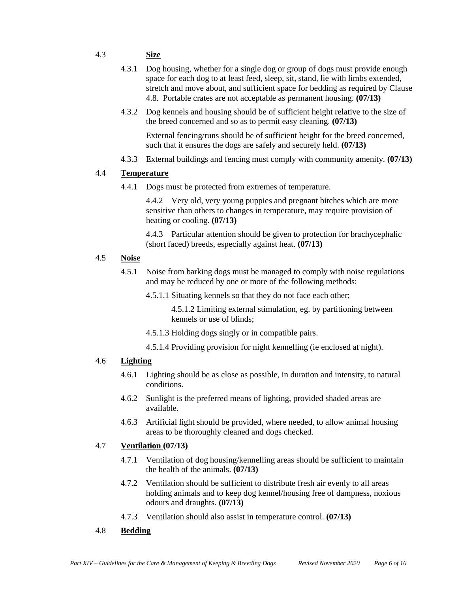# 4.3 **Size**

- 4.3.1 Dog housing, whether for a single dog or group of dogs must provide enough space for each dog to at least feed, sleep, sit, stand, lie with limbs extended, stretch and move about, and sufficient space for bedding as required by Clause 4.8. Portable crates are not acceptable as permanent housing. **(07/13)**
- 4.3.2 Dog kennels and housing should be of sufficient height relative to the size of the breed concerned and so as to permit easy cleaning. **(07/13)**

External fencing/runs should be of sufficient height for the breed concerned, such that it ensures the dogs are safely and securely held. **(07/13)**

4.3.3 External buildings and fencing must comply with community amenity. **(07/13)**

#### 4.4 **Temperature**

4.4.1 Dogs must be protected from extremes of temperature.

4.4.2 Very old, very young puppies and pregnant bitches which are more sensitive than others to changes in temperature, may require provision of heating or cooling. **(07/13)**

4.4.3 Particular attention should be given to protection for brachycephalic (short faced) breeds, especially against heat. **(07/13)**

#### 4.5 **Noise**

4.5.1 Noise from barking dogs must be managed to comply with noise regulations and may be reduced by one or more of the following methods:

4.5.1.1 Situating kennels so that they do not face each other;

4.5.1.2 Limiting external stimulation, eg. by partitioning between kennels or use of blinds;

- 4.5.1.3 Holding dogs singly or in compatible pairs.
- 4.5.1.4 Providing provision for night kennelling (ie enclosed at night).

#### 4.6 **Lighting**

- 4.6.1 Lighting should be as close as possible, in duration and intensity, to natural conditions.
- 4.6.2 Sunlight is the preferred means of lighting, provided shaded areas are available.
- 4.6.3 Artificial light should be provided, where needed, to allow animal housing areas to be thoroughly cleaned and dogs checked.

#### 4.7 **Ventilation (07/13)**

- 4.7.1 Ventilation of dog housing/kennelling areas should be sufficient to maintain the health of the animals. **(07/13)**
- 4.7.2 Ventilation should be sufficient to distribute fresh air evenly to all areas holding animals and to keep dog kennel/housing free of dampness, noxious odours and draughts. **(07/13)**
- 4.7.3 Ventilation should also assist in temperature control. **(07/13)**

#### 4.8 **Bedding**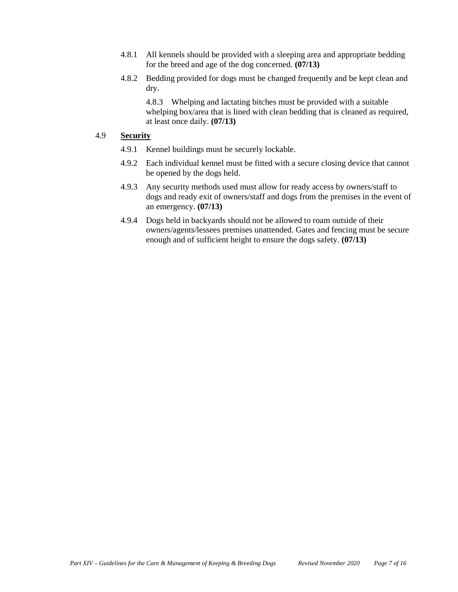- 4.8.1 All kennels should be provided with a sleeping area and appropriate bedding for the breed and age of the dog concerned. **(07/13)**
- 4.8.2 Bedding provided for dogs must be changed frequently and be kept clean and dry.

4.8.3 Whelping and lactating bitches must be provided with a suitable whelping box/area that is lined with clean bedding that is cleaned as required, at least once daily. **(07/13)**

# 4.9 **Security**

- 4.9.1 Kennel buildings must be securely lockable.
- 4.9.2 Each individual kennel must be fitted with a secure closing device that cannot be opened by the dogs held.
- 4.9.3 Any security methods used must allow for ready access by owners/staff to dogs and ready exit of owners/staff and dogs from the premises in the event of an emergency. **(07/13)**
- 4.9.4 Dogs held in backyards should not be allowed to roam outside of their owners/agents/lessees premises unattended. Gates and fencing must be secure enough and of sufficient height to ensure the dogs safety. **(07/13)**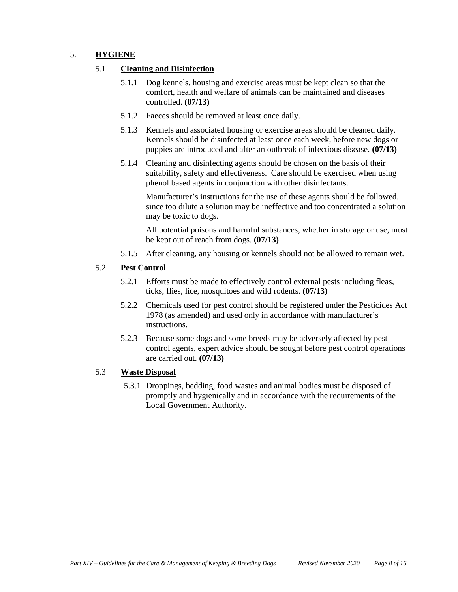# 5. **HYGIENE**

# 5.1 **Cleaning and Disinfection**

- 5.1.1 Dog kennels, housing and exercise areas must be kept clean so that the comfort, health and welfare of animals can be maintained and diseases controlled. **(07/13)**
- 5.1.2 Faeces should be removed at least once daily.
- 5.1.3 Kennels and associated housing or exercise areas should be cleaned daily. Kennels should be disinfected at least once each week, before new dogs or puppies are introduced and after an outbreak of infectious disease. **(07/13)**
- 5.1.4 Cleaning and disinfecting agents should be chosen on the basis of their suitability, safety and effectiveness. Care should be exercised when using phenol based agents in conjunction with other disinfectants.

Manufacturer's instructions for the use of these agents should be followed, since too dilute a solution may be ineffective and too concentrated a solution may be toxic to dogs.

All potential poisons and harmful substances, whether in storage or use, must be kept out of reach from dogs. **(07/13)**

5.1.5 After cleaning, any housing or kennels should not be allowed to remain wet.

## 5.2 **Pest Control**

- 5.2.1 Efforts must be made to effectively control external pests including fleas, ticks, flies, lice, mosquitoes and wild rodents. **(07/13)**
- 5.2.2 Chemicals used for pest control should be registered under the Pesticides Act 1978 (as amended) and used only in accordance with manufacturer's instructions.
- 5.2.3 Because some dogs and some breeds may be adversely affected by pest control agents, expert advice should be sought before pest control operations are carried out. **(07/13)**

#### 5.3 **Waste Disposal**

5.3.1 Droppings, bedding, food wastes and animal bodies must be disposed of promptly and hygienically and in accordance with the requirements of the Local Government Authority.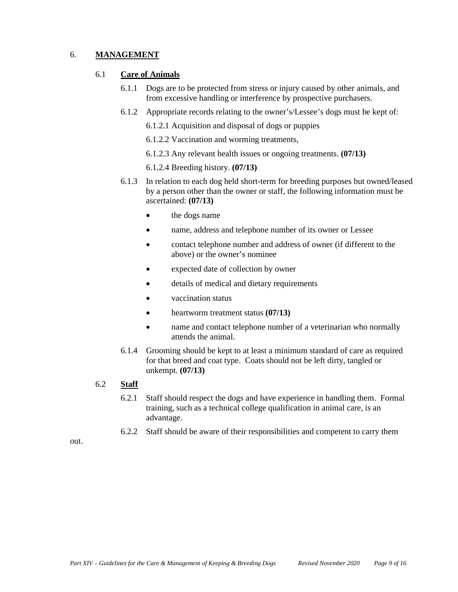# 6. **MANAGEMENT**

#### 6.1 **Care of Animals**

- 6.1.1 Dogs are to be protected from stress or injury caused by other animals, and from excessive handling or interference by prospective purchasers.
- 6.1.2 Appropriate records relating to the owner's/Lessee's dogs must be kept of:
	- 6.1.2.1 Acquisition and disposal of dogs or puppies
	- 6.1.2.2 Vaccination and worming treatments,
	- 6.1.2.3 Any relevant health issues or ongoing treatments. **(07/13)**
	- 6.1.2.4 Breeding history. **(07/13)**
- 6.1.3 In relation to each dog held short-term for breeding purposes but owned/leased by a person other than the owner or staff, the following information must be ascertained: **(07/13)**
	- the dogs name
	- name, address and telephone number of its owner or Lessee
	- contact telephone number and address of owner (if different to the above) or the owner's nominee
	- expected date of collection by owner
	- details of medical and dietary requirements
	- vaccination status
	- heartworm treatment status **(07/13)**
	- name and contact telephone number of a veterinarian who normally attends the animal.
- 6.1.4 Grooming should be kept to at least a minimum standard of care as required for that breed and coat type. Coats should not be left dirty, tangled or unkempt. **(07/13)**
- 6.2 **Staff**
	- 6.2.1 Staff should respect the dogs and have experience in handling them. Formal training, such as a technical college qualification in animal care, is an advantage.
	- 6.2.2 Staff should be aware of their responsibilities and competent to carry them

out.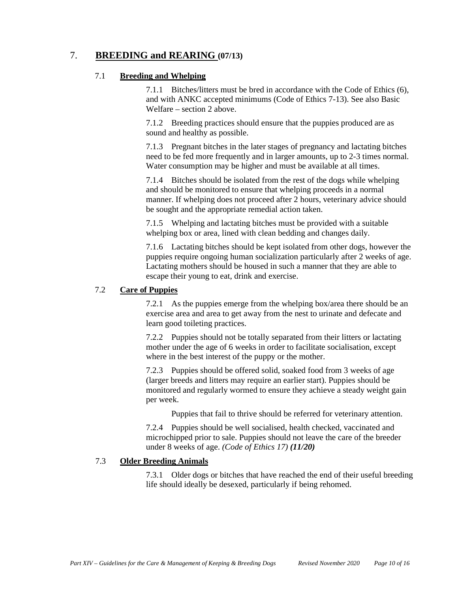# 7. **BREEDING and REARING (07/13)**

### 7.1 **Breeding and Whelping**

7.1.1 Bitches/litters must be bred in accordance with the Code of Ethics (6), and with ANKC accepted minimums (Code of Ethics 7-13). See also Basic Welfare – section 2 above.

7.1.2 Breeding practices should ensure that the puppies produced are as sound and healthy as possible.

7.1.3 Pregnant bitches in the later stages of pregnancy and lactating bitches need to be fed more frequently and in larger amounts, up to 2-3 times normal. Water consumption may be higher and must be available at all times.

7.1.4 Bitches should be isolated from the rest of the dogs while whelping and should be monitored to ensure that whelping proceeds in a normal manner. If whelping does not proceed after 2 hours, veterinary advice should be sought and the appropriate remedial action taken.

7.1.5 Whelping and lactating bitches must be provided with a suitable whelping box or area, lined with clean bedding and changes daily.

7.1.6 Lactating bitches should be kept isolated from other dogs, however the puppies require ongoing human socialization particularly after 2 weeks of age. Lactating mothers should be housed in such a manner that they are able to escape their young to eat, drink and exercise.

# 7.2 **Care of Puppies**

7.2.1 As the puppies emerge from the whelping box/area there should be an exercise area and area to get away from the nest to urinate and defecate and learn good toileting practices.

7.2.2 Puppies should not be totally separated from their litters or lactating mother under the age of 6 weeks in order to facilitate socialisation, except where in the best interest of the puppy or the mother.

7.2.3 Puppies should be offered solid, soaked food from 3 weeks of age (larger breeds and litters may require an earlier start). Puppies should be monitored and regularly wormed to ensure they achieve a steady weight gain per week.

Puppies that fail to thrive should be referred for veterinary attention.

7.2.4 Puppies should be well socialised, health checked, vaccinated and microchipped prior to sale. Puppies should not leave the care of the breeder under 8 weeks of age. *(Code of Ethics 17) (11/20)*

# 7.3 **Older Breeding Animals**

7.3.1 Older dogs or bitches that have reached the end of their useful breeding life should ideally be desexed, particularly if being rehomed.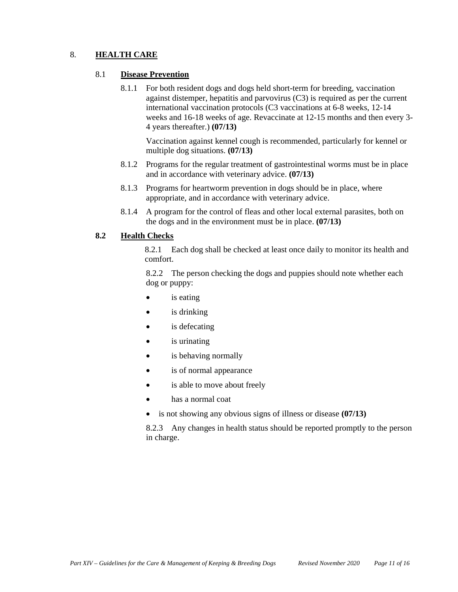# 8. **HEALTH CARE**

#### 8.1 **Disease Prevention**

8.1.1 For both resident dogs and dogs held short-term for breeding, vaccination against distemper, hepatitis and parvovirus (C3) is required as per the current international vaccination protocols (C3 vaccinations at 6-8 weeks, 12-14 weeks and 16-18 weeks of age. Revaccinate at 12-15 months and then every 3- 4 years thereafter.) **(07/13)**

Vaccination against kennel cough is recommended, particularly for kennel or multiple dog situations. **(07/13)**

- 8.1.2 Programs for the regular treatment of gastrointestinal worms must be in place and in accordance with veterinary advice. **(07/13)**
- 8.1.3 Programs for heartworm prevention in dogs should be in place, where appropriate, and in accordance with veterinary advice.
- 8.1.4 A program for the control of fleas and other local external parasites, both on the dogs and in the environment must be in place. **(07/13)**

#### **8.2 Health Checks**

8.2.1 Each dog shall be checked at least once daily to monitor its health and comfort.

8.2.2 The person checking the dogs and puppies should note whether each dog or puppy:

- is eating
- is drinking
- is defecating
- is urinating
- is behaving normally
- is of normal appearance
- is able to move about freely
- has a normal coat
- is not showing any obvious signs of illness or disease **(07/13)**

8.2.3 Any changes in health status should be reported promptly to the person in charge.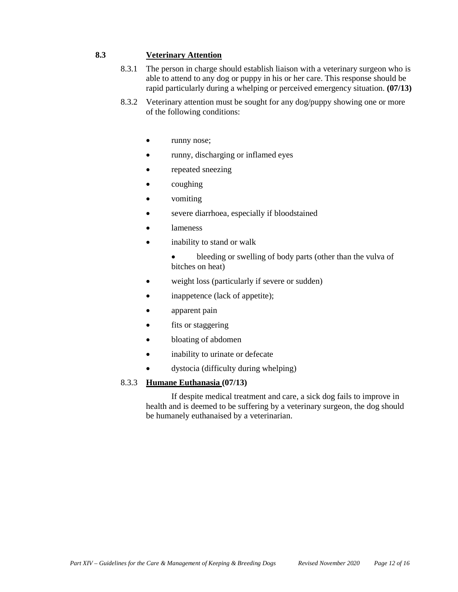# **8.3 Veterinary Attention**

- 8.3.1 The person in charge should establish liaison with a veterinary surgeon who is able to attend to any dog or puppy in his or her care. This response should be rapid particularly during a whelping or perceived emergency situation. **(07/13)**
- 8.3.2 Veterinary attention must be sought for any dog/puppy showing one or more of the following conditions:
	- runny nose;
	- runny, discharging or inflamed eyes
	- repeated sneezing
	- $\bullet$  coughing
	- vomiting
	- severe diarrhoea, especially if bloodstained
	- lameness
	- inability to stand or walk
		- bleeding or swelling of body parts (other than the vulva of bitches on heat)
	- weight loss (particularly if severe or sudden)
	- inappetence (lack of appetite);
	- apparent pain
	- fits or staggering
	- bloating of abdomen
	- inability to urinate or defecate
	- dystocia (difficulty during whelping)

#### 8.3.3 **Humane Euthanasia (07/13)**

If despite medical treatment and care, a sick dog fails to improve in health and is deemed to be suffering by a veterinary surgeon, the dog should be humanely euthanaised by a veterinarian.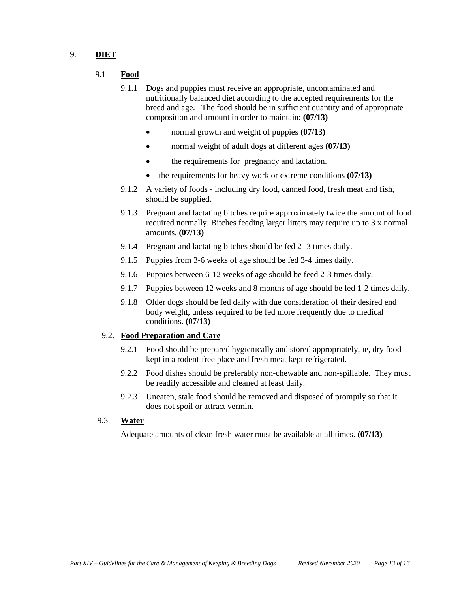## 9. **DIET**

- 9.1 **Food**
	- 9.1.1 Dogs and puppies must receive an appropriate, uncontaminated and nutritionally balanced diet according to the accepted requirements for the breed and age. The food should be in sufficient quantity and of appropriate composition and amount in order to maintain: **(07/13)**
		- normal growth and weight of puppies **(07/13)**
		- normal weight of adult dogs at different ages **(07/13)**
		- the requirements for pregnancy and lactation.
		- the requirements for heavy work or extreme conditions **(07/13)**
	- 9.1.2 A variety of foods including dry food, canned food, fresh meat and fish, should be supplied.
	- 9.1.3 Pregnant and lactating bitches require approximately twice the amount of food required normally. Bitches feeding larger litters may require up to 3 x normal amounts. **(07/13)**
	- 9.1.4 Pregnant and lactating bitches should be fed 2- 3 times daily.
	- 9.1.5 Puppies from 3-6 weeks of age should be fed 3-4 times daily.
	- 9.1.6 Puppies between 6-12 weeks of age should be feed 2-3 times daily.
	- 9.1.7 Puppies between 12 weeks and 8 months of age should be fed 1-2 times daily.
	- 9.1.8 Older dogs should be fed daily with due consideration of their desired end body weight, unless required to be fed more frequently due to medical conditions. **(07/13)**

#### 9.2. **Food Preparation and Care**

- 9.2.1 Food should be prepared hygienically and stored appropriately, ie, dry food kept in a rodent-free place and fresh meat kept refrigerated.
- 9.2.2 Food dishes should be preferably non-chewable and non-spillable. They must be readily accessible and cleaned at least daily.
- 9.2.3 Uneaten, stale food should be removed and disposed of promptly so that it does not spoil or attract vermin.

#### 9.3 **Water**

Adequate amounts of clean fresh water must be available at all times. **(07/13)**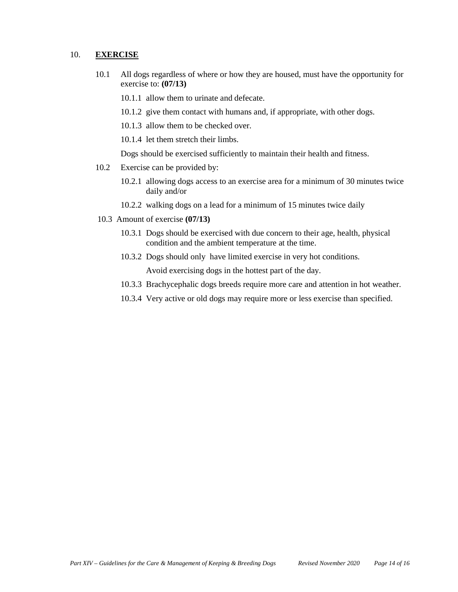#### 10. **EXERCISE**

- 10.1 All dogs regardless of where or how they are housed, must have the opportunity for exercise to: **(07/13)**
	- 10.1.1 allow them to urinate and defecate.
	- 10.1.2 give them contact with humans and, if appropriate, with other dogs.
	- 10.1.3 allow them to be checked over.
	- 10.1.4 let them stretch their limbs.

Dogs should be exercised sufficiently to maintain their health and fitness.

- 10.2 Exercise can be provided by:
	- 10.2.1 allowing dogs access to an exercise area for a minimum of 30 minutes twice daily and/or
	- 10.2.2 walking dogs on a lead for a minimum of 15 minutes twice daily
- 10.3 Amount of exercise **(07/13)**
	- 10.3.1 Dogs should be exercised with due concern to their age, health, physical condition and the ambient temperature at the time.
	- 10.3.2 Dogs should only have limited exercise in very hot conditions.

Avoid exercising dogs in the hottest part of the day.

- 10.3.3 Brachycephalic dogs breeds require more care and attention in hot weather.
- 10.3.4 Very active or old dogs may require more or less exercise than specified.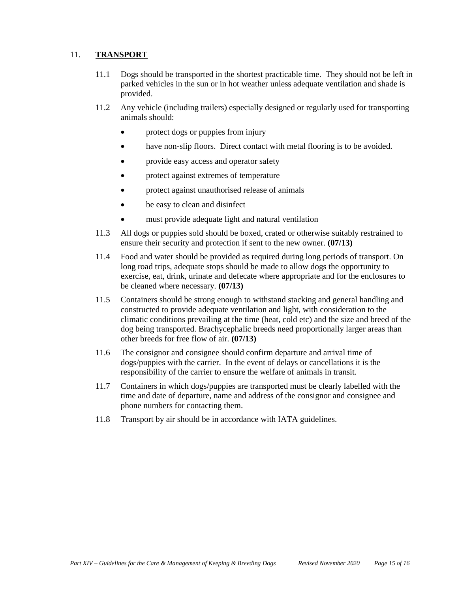# 11. **TRANSPORT**

- 11.1 Dogs should be transported in the shortest practicable time. They should not be left in parked vehicles in the sun or in hot weather unless adequate ventilation and shade is provided.
- 11.2 Any vehicle (including trailers) especially designed or regularly used for transporting animals should:
	- protect dogs or puppies from injury
	- have non-slip floors. Direct contact with metal flooring is to be avoided.
	- provide easy access and operator safety
	- protect against extremes of temperature
	- protect against unauthorised release of animals
	- be easy to clean and disinfect
	- must provide adequate light and natural ventilation
- 11.3 All dogs or puppies sold should be boxed, crated or otherwise suitably restrained to ensure their security and protection if sent to the new owner. **(07/13)**
- 11.4 Food and water should be provided as required during long periods of transport. On long road trips, adequate stops should be made to allow dogs the opportunity to exercise, eat, drink, urinate and defecate where appropriate and for the enclosures to be cleaned where necessary. **(07/13)**
- 11.5 Containers should be strong enough to withstand stacking and general handling and constructed to provide adequate ventilation and light, with consideration to the climatic conditions prevailing at the time (heat, cold etc) and the size and breed of the dog being transported. Brachycephalic breeds need proportionally larger areas than other breeds for free flow of air. **(07/13)**
- 11.6 The consignor and consignee should confirm departure and arrival time of dogs/puppies with the carrier. In the event of delays or cancellations it is the responsibility of the carrier to ensure the welfare of animals in transit.
- 11.7 Containers in which dogs/puppies are transported must be clearly labelled with the time and date of departure, name and address of the consignor and consignee and phone numbers for contacting them.
- 11.8 Transport by air should be in accordance with IATA guidelines.